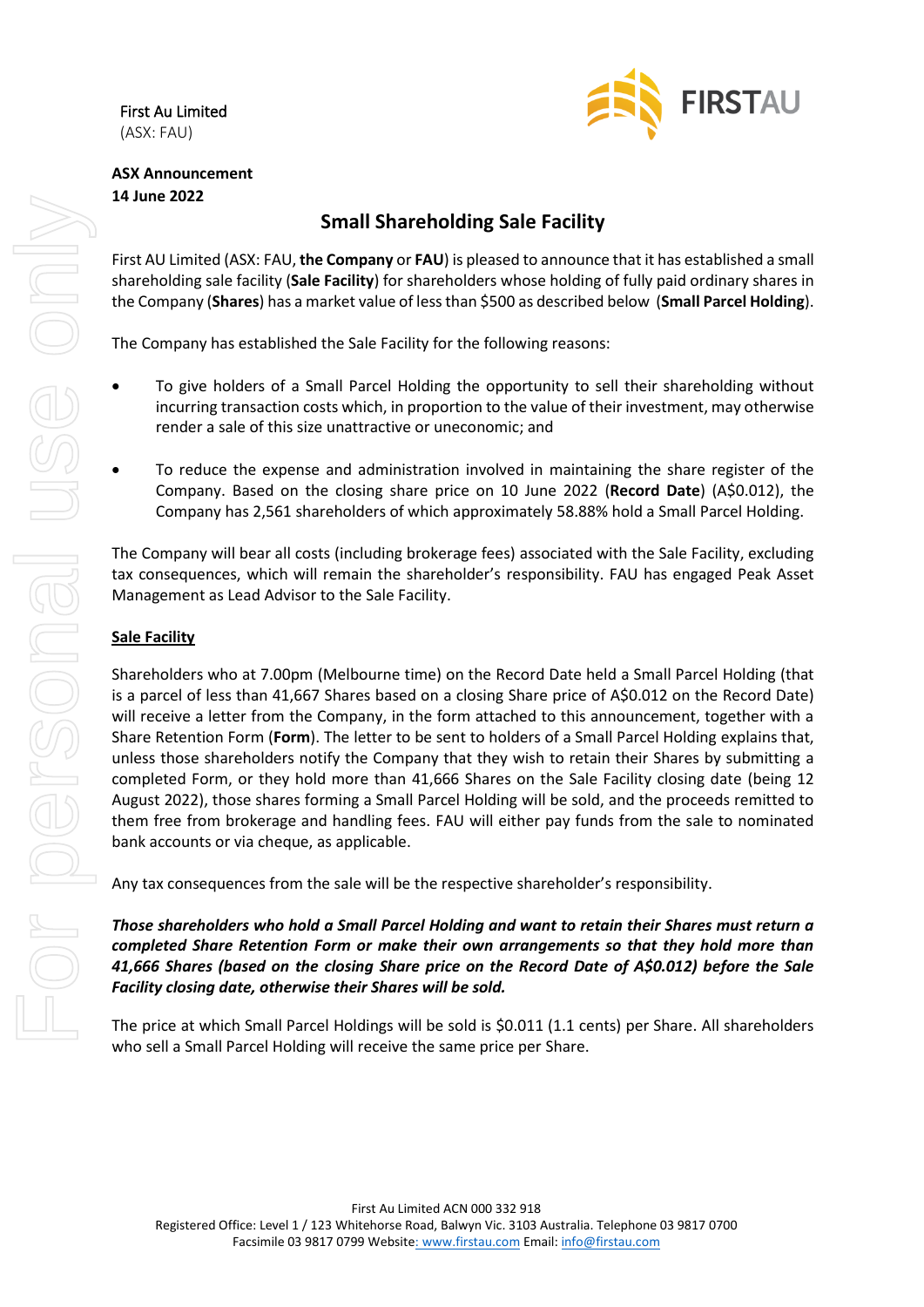First Au Limited (ASX: FAU)



### **ASX Announcement 14 June 2022**

# **Small Shareholding Sale Facility**

First AU Limited (ASX: FAU, **the Company** or **FAU**) is pleased to announce that it has established a small shareholding sale facility (**Sale Facility**) for shareholders whose holding of fully paid ordinary shares in the Company (**Shares**) has a market value of less than \$500 as described below (**Small Parcel Holding**).

The Company has established the Sale Facility for the following reasons:

- To give holders of a Small Parcel Holding the opportunity to sell their shareholding without incurring transaction costs which, in proportion to the value of their investment, may otherwise render a sale of this size unattractive or uneconomic; and
- To reduce the expense and administration involved in maintaining the share register of the Company. Based on the closing share price on 10 June 2022 (**Record Date**) (A\$0.012), the Company has 2,561 shareholders of which approximately 58.88% hold a Small Parcel Holding.

The Company will bear all costs (including brokerage fees) associated with the Sale Facility, excluding tax consequences, which will remain the shareholder's responsibility. FAU has engaged Peak Asset Management as Lead Advisor to the Sale Facility.

## **Sale Facility**

Shareholders who at 7.00pm (Melbourne time) on the Record Date held a Small Parcel Holding (that is a parcel of less than 41,667 Shares based on a closing Share price of A\$0.012 on the Record Date) will receive a letter from the Company, in the form attached to this announcement, together with a Share Retention Form (**Form**). The letter to be sent to holders of a Small Parcel Holding explains that, unless those shareholders notify the Company that they wish to retain their Shares by submitting a completed Form, or they hold more than 41,666 Shares on the Sale Facility closing date (being 12 August 2022), those shares forming a Small Parcel Holding will be sold, and the proceeds remitted to them free from brokerage and handling fees. FAU will either pay funds from the sale to nominated bank accounts or via cheque, as applicable.

Any tax consequences from the sale will be the respective shareholder's responsibility.

*Those shareholders who hold a Small Parcel Holding and want to retain their Shares must return a completed Share Retention Form or make their own arrangements so that they hold more than 41,666 Shares (based on the closing Share price on the Record Date of A\$0.012) before the Sale Facility closing date, otherwise their Shares will be sold.*

The price at which Small Parcel Holdings will be sold is \$0.011 (1.1 cents) per Share. All shareholders who sell a Small Parcel Holding will receive the same price per Share.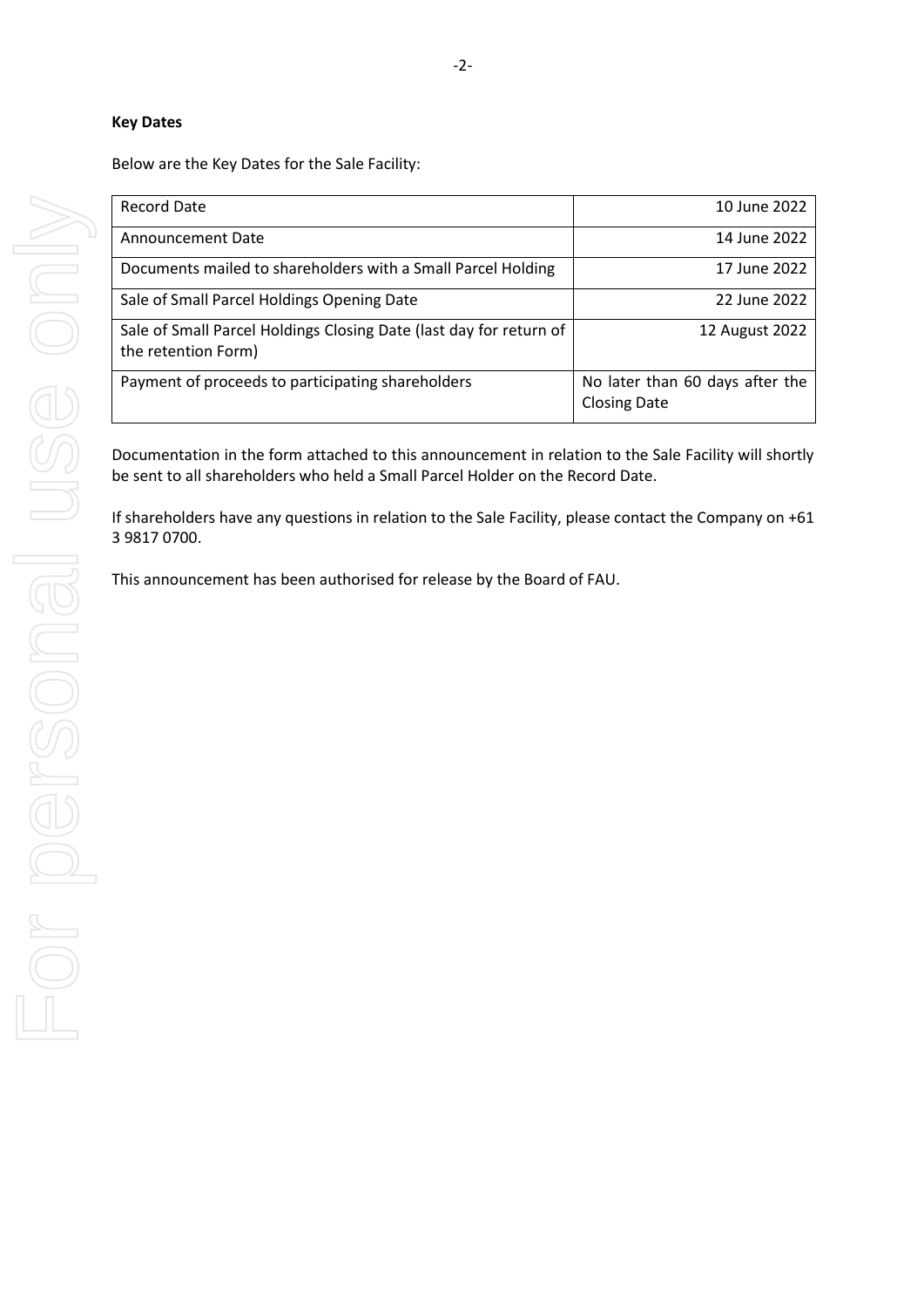#### **Key Dates**

Below are the Key Dates for the Sale Facility:

| <b>Record Date</b>                                                                        | 10 June 2022                                           |
|-------------------------------------------------------------------------------------------|--------------------------------------------------------|
| Announcement Date                                                                         | 14 June 2022                                           |
| Documents mailed to shareholders with a Small Parcel Holding                              | 17 June 2022                                           |
| Sale of Small Parcel Holdings Opening Date                                                | 22 June 2022                                           |
| Sale of Small Parcel Holdings Closing Date (last day for return of<br>the retention Form) | 12 August 2022                                         |
| Payment of proceeds to participating shareholders                                         | No later than 60 days after the<br><b>Closing Date</b> |

Documentation in the form attached to this announcement in relation to the Sale Facility will shortly be sent to all shareholders who held a Small Parcel Holder on the Record Date.

If shareholders have any questions in relation to the Sale Facility, please contact the Company on +61 3 9817 0700.

This announcement has been authorised for release by the Board of FAU.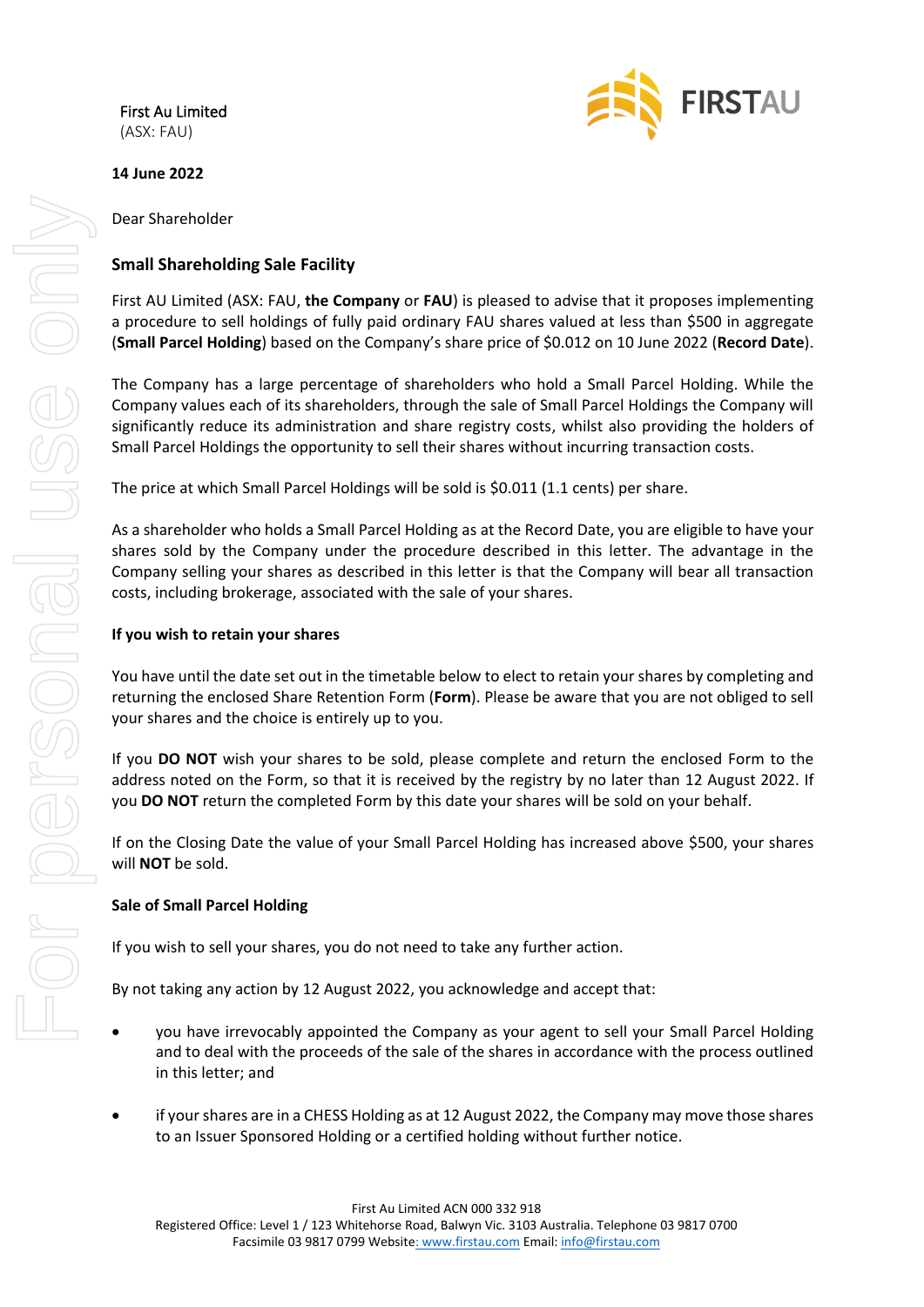First Au Limited

(ASX: FAU)



## **14 June 2022**

Dear Shareholder

### **Small Shareholding Sale Facility**

First AU Limited (ASX: FAU, **the Company** or **FAU**) is pleased to advise that it proposes implementing a procedure to sell holdings of fully paid ordinary FAU shares valued at less than \$500 in aggregate (**Small Parcel Holding**) based on the Company's share price of \$0.012 on 10 June 2022 (**Record Date**).

The Company has a large percentage of shareholders who hold a Small Parcel Holding. While the Company values each of its shareholders, through the sale of Small Parcel Holdings the Company will significantly reduce its administration and share registry costs, whilst also providing the holders of Small Parcel Holdings the opportunity to sell their shares without incurring transaction costs.

The price at which Small Parcel Holdings will be sold is \$0.011 (1.1 cents) per share.

As a shareholder who holds a Small Parcel Holding as at the Record Date, you are eligible to have your shares sold by the Company under the procedure described in this letter. The advantage in the Company selling your shares as described in this letter is that the Company will bear all transaction costs, including brokerage, associated with the sale of your shares.

### **If you wish to retain your shares**

You have until the date set out in the timetable below to elect to retain your shares by completing and returning the enclosed Share Retention Form (**Form**). Please be aware that you are not obliged to sell your shares and the choice is entirely up to you.

If you **DO NOT** wish your shares to be sold, please complete and return the enclosed Form to the address noted on the Form, so that it is received by the registry by no later than 12 August 2022. If you **DO NOT** return the completed Form by this date your shares will be sold on your behalf.

If on the Closing Date the value of your Small Parcel Holding has increased above \$500, your shares will **NOT** be sold.

#### **Sale of Small Parcel Holding**

If you wish to sell your shares, you do not need to take any further action.

By not taking any action by 12 August 2022, you acknowledge and accept that:

- you have irrevocably appointed the Company as your agent to sell your Small Parcel Holding and to deal with the proceeds of the sale of the shares in accordance with the process outlined in this letter; and
- if your shares are in a CHESS Holding as at 12 August 2022, the Company may move those shares to an Issuer Sponsored Holding or a certified holding without further notice.

First Au Limited ACN 000 332 918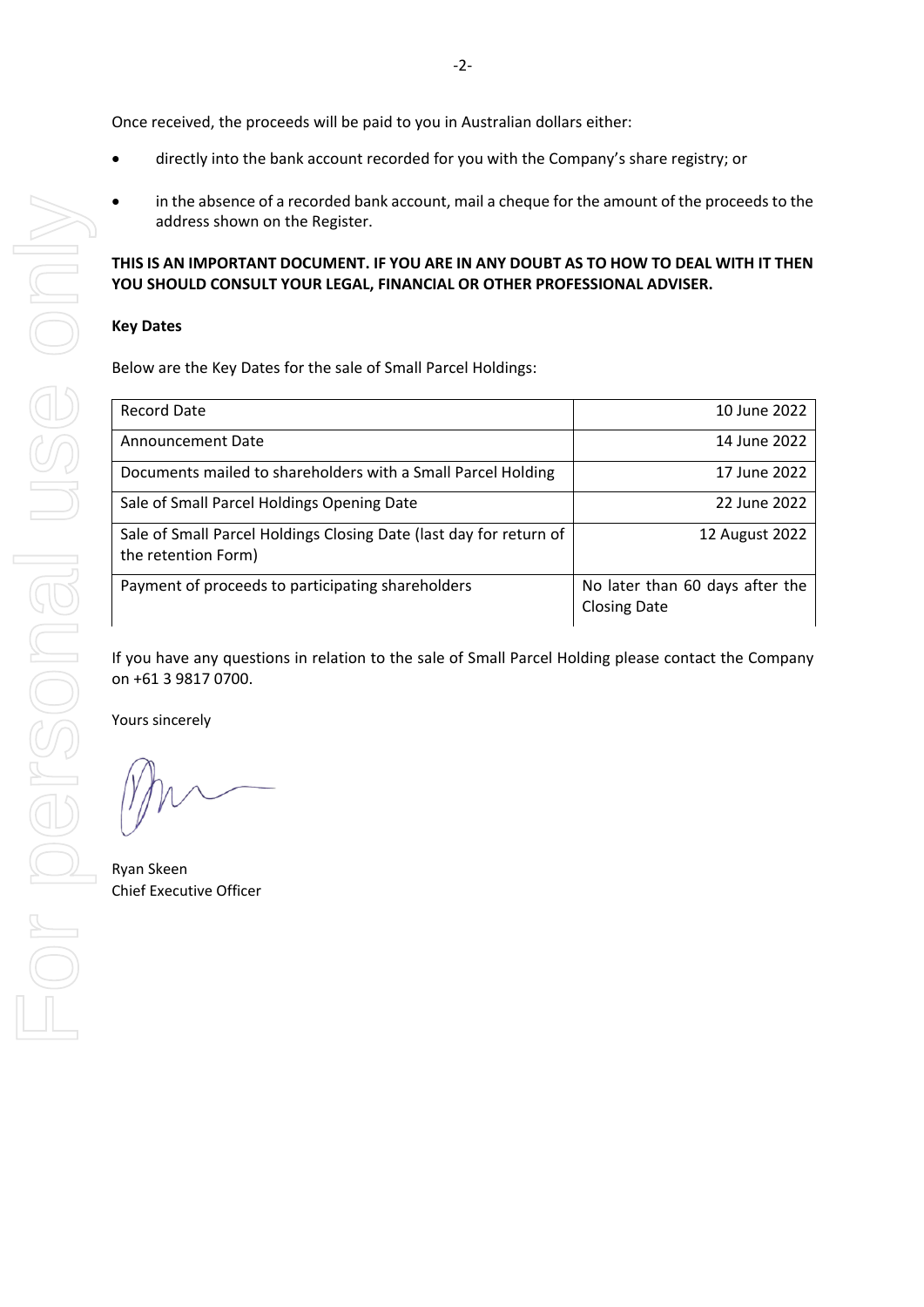Once received, the proceeds will be paid to you in Australian dollars either:

- directly into the bank account recorded for you with the Company's share registry; or
- in the absence of a recorded bank account, mail a cheque for the amount of the proceeds to the address shown on the Register.

### **THIS IS AN IMPORTANT DOCUMENT. IF YOU ARE IN ANY DOUBT AS TO HOW TO DEAL WITH IT THEN YOU SHOULD CONSULT YOUR LEGAL, FINANCIAL OR OTHER PROFESSIONAL ADVISER.**

### **Key Dates**

Below are the Key Dates for the sale of Small Parcel Holdings:

| <b>Record Date</b>                                                                        | 10 June 2022                                           |
|-------------------------------------------------------------------------------------------|--------------------------------------------------------|
| Announcement Date                                                                         | 14 June 2022                                           |
| Documents mailed to shareholders with a Small Parcel Holding                              | 17 June 2022                                           |
| Sale of Small Parcel Holdings Opening Date                                                | 22 June 2022                                           |
| Sale of Small Parcel Holdings Closing Date (last day for return of<br>the retention Form) | 12 August 2022                                         |
| Payment of proceeds to participating shareholders                                         | No later than 60 days after the<br><b>Closing Date</b> |

If you have any questions in relation to the sale of Small Parcel Holding please contact the Company on +61 3 9817 0700.

Yours sincerely

Ryan Skeen Chief Executive Officer